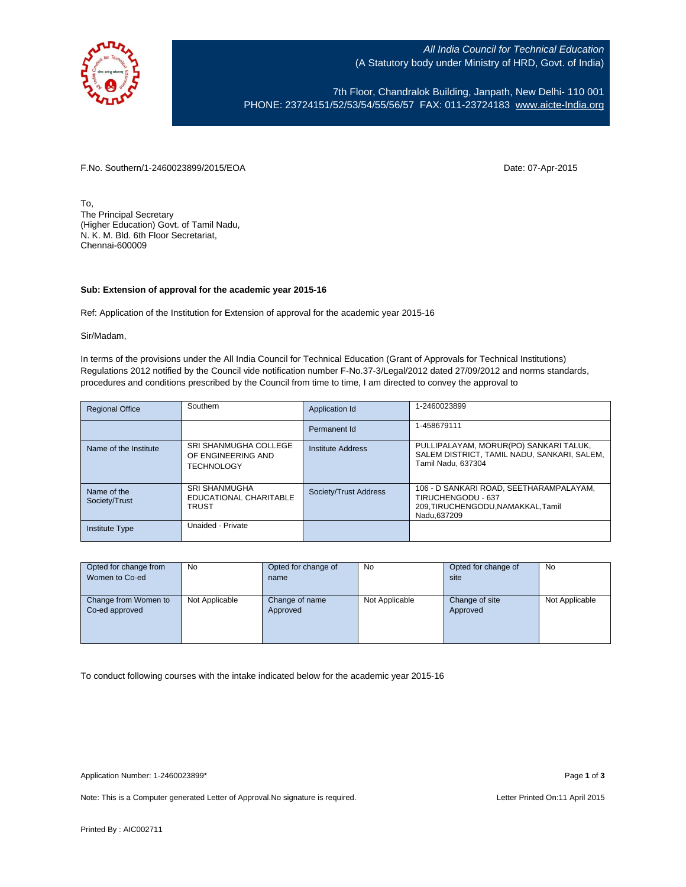

All India Council for Technical Education (A Statutory body under Ministry of HRD, Govt. of India)

7th Floor, Chandralok Building, Janpath, New Delhi- 110 001 PHONE: 23724151/52/53/54/55/56/57 FAX: 011-23724183 [www.aicte-India.org](http://www.aicte-india.org/)

F.No. Southern/1-2460023899/2015/EOA Date: 07-Apr-2015

To, The Principal Secretary (Higher Education) Govt. of Tamil Nadu, N. K. M. Bld. 6th Floor Secretariat, Chennai-600009

## **Sub: Extension of approval for the academic year 2015-16**

Ref: Application of the Institution for Extension of approval for the academic year 2015-16

Sir/Madam,

In terms of the provisions under the All India Council for Technical Education (Grant of Approvals for Technical Institutions) Regulations 2012 notified by the Council vide notification number F-No.37-3/Legal/2012 dated 27/09/2012 and norms standards, procedures and conditions prescribed by the Council from time to time, I am directed to convey the approval to

| <b>Regional Office</b>       | Southern                                                                | Application Id        | 1-2460023899                                                                                                       |
|------------------------------|-------------------------------------------------------------------------|-----------------------|--------------------------------------------------------------------------------------------------------------------|
|                              |                                                                         | Permanent Id          | 1-458679111                                                                                                        |
| Name of the Institute        | <b>SRI SHANMUGHA COLLEGE</b><br>OF ENGINEERING AND<br><b>TECHNOLOGY</b> | Institute Address     | PULLIPALAYAM, MORUR(PO) SANKARI TALUK,<br>SALEM DISTRICT, TAMIL NADU, SANKARI, SALEM,<br>Tamil Nadu, 637304        |
| Name of the<br>Society/Trust | <b>SRI SHANMUGHA</b><br>EDUCATIONAL CHARITABLE<br><b>TRUST</b>          | Society/Trust Address | 106 - D SANKARI ROAD, SEETHARAMPALAYAM,<br>TIRUCHENGODU - 637<br>209, TIRUCHENGODU, NAMAKKAL, Tamil<br>Nadu.637209 |
| <b>Institute Type</b>        | Unaided - Private                                                       |                       |                                                                                                                    |

| Opted for change from | No             | Opted for change of | No             | Opted for change of | No             |
|-----------------------|----------------|---------------------|----------------|---------------------|----------------|
| Women to Co-ed        |                | name                |                | site                |                |
|                       |                |                     |                |                     |                |
| Change from Women to  | Not Applicable | Change of name      | Not Applicable | Change of site      | Not Applicable |
| Co-ed approved        |                | Approved            |                | Approved            |                |
|                       |                |                     |                |                     |                |
|                       |                |                     |                |                     |                |
|                       |                |                     |                |                     |                |

To conduct following courses with the intake indicated below for the academic year 2015-16

Note: This is a Computer generated Letter of Approval. No signature is required. Letter Printed On:11 April 2015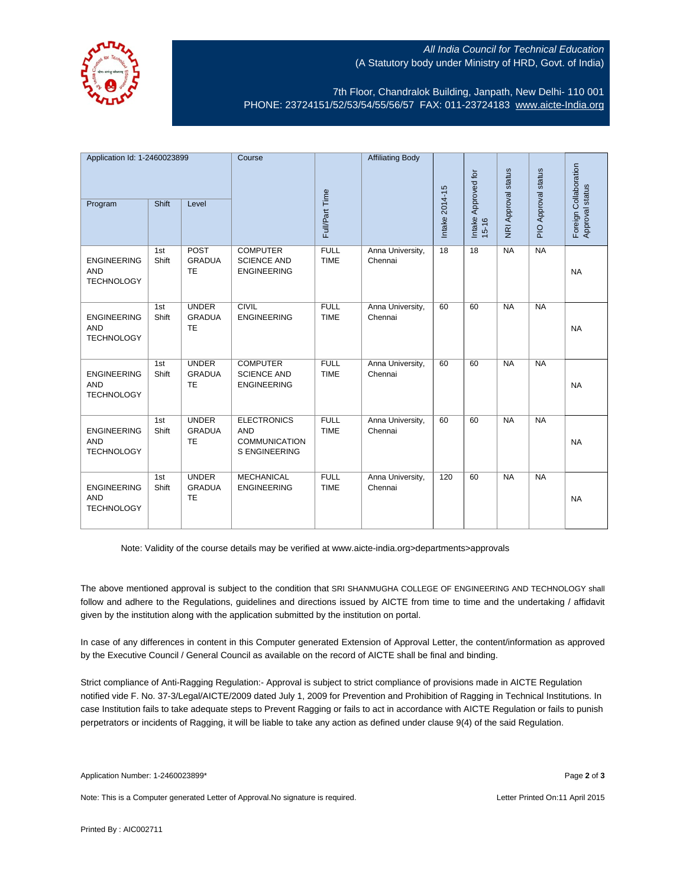

## All India Council for Technical Education (A Statutory body under Ministry of HRD, Govt. of India)

7th Floor, Chandralok Building, Janpath, New Delhi- 110 001 PHONE: 23724151/52/53/54/55/56/57 FAX: 011-23724183 [www.aicte-India.org](http://www.aicte-india.org/)

| Application Id: 1-2460023899                          |              | Course                                     |                                                                                  | <b>Affiliating Body</b>    |                             |                 |                              |                     |                     |                                          |
|-------------------------------------------------------|--------------|--------------------------------------------|----------------------------------------------------------------------------------|----------------------------|-----------------------------|-----------------|------------------------------|---------------------|---------------------|------------------------------------------|
| Program                                               | Shift        | Level                                      |                                                                                  | Full/Part Time             |                             | Intake 2014-15  | Intake Approved for<br>15-16 | NRI Approval status | PIO Approval status | Foreign Collaboration<br>Approval status |
| <b>ENGINEERING</b><br><b>AND</b><br><b>TECHNOLOGY</b> | 1st<br>Shift | POST<br><b>GRADUA</b><br><b>TE</b>         | <b>COMPUTER</b><br><b>SCIENCE AND</b><br><b>ENGINEERING</b>                      | <b>FULL</b><br><b>TIME</b> | Anna University,<br>Chennai | $\overline{18}$ | 18                           | <b>NA</b>           | <b>NA</b>           | <b>NA</b>                                |
| <b>ENGINEERING</b><br><b>AND</b><br><b>TECHNOLOGY</b> | 1st<br>Shift | <b>UNDER</b><br><b>GRADUA</b><br><b>TE</b> | <b>CIVIL</b><br><b>ENGINEERING</b>                                               | <b>FULL</b><br><b>TIME</b> | Anna University,<br>Chennai | 60              | 60                           | <b>NA</b>           | NA                  | <b>NA</b>                                |
| <b>ENGINEERING</b><br><b>AND</b><br><b>TECHNOLOGY</b> | 1st<br>Shift | <b>UNDER</b><br><b>GRADUA</b><br><b>TE</b> | <b>COMPUTER</b><br><b>SCIENCE AND</b><br><b>ENGINEERING</b>                      | <b>FULL</b><br><b>TIME</b> | Anna University,<br>Chennai | 60              | 60                           | <b>NA</b>           | <b>NA</b>           | <b>NA</b>                                |
| <b>ENGINEERING</b><br><b>AND</b><br><b>TECHNOLOGY</b> | 1st<br>Shift | <b>UNDER</b><br><b>GRADUA</b><br><b>TE</b> | <b>ELECTRONICS</b><br><b>AND</b><br><b>COMMUNICATION</b><br><b>S ENGINEERING</b> | <b>FULL</b><br><b>TIME</b> | Anna University,<br>Chennai | 60              | 60                           | <b>NA</b>           | <b>NA</b>           | <b>NA</b>                                |
| <b>ENGINEERING</b><br><b>AND</b><br><b>TECHNOLOGY</b> | 1st<br>Shift | <b>UNDER</b><br><b>GRADUA</b><br><b>TE</b> | <b>MECHANICAL</b><br><b>ENGINEERING</b>                                          | <b>FULL</b><br><b>TIME</b> | Anna University,<br>Chennai | 120             | 60                           | <b>NA</b>           | <b>NA</b>           | <b>NA</b>                                |

Note: Validity of the course details may be verified at www.aicte-india.org>departments>approvals

The above mentioned approval is subject to the condition that SRI SHANMUGHA COLLEGE OF ENGINEERING AND TECHNOLOGY shall follow and adhere to the Regulations, guidelines and directions issued by AICTE from time to time and the undertaking / affidavit given by the institution along with the application submitted by the institution on portal.

In case of any differences in content in this Computer generated Extension of Approval Letter, the content/information as approved by the Executive Council / General Council as available on the record of AICTE shall be final and binding.

Strict compliance of Anti-Ragging Regulation:- Approval is subject to strict compliance of provisions made in AICTE Regulation notified vide F. No. 37-3/Legal/AICTE/2009 dated July 1, 2009 for Prevention and Prohibition of Ragging in Technical Institutions. In case Institution fails to take adequate steps to Prevent Ragging or fails to act in accordance with AICTE Regulation or fails to punish perpetrators or incidents of Ragging, it will be liable to take any action as defined under clause 9(4) of the said Regulation.

Note: This is a Computer generated Letter of Approval.No signature is required. Letter According the state of the Letter Printed On:11 April 2015